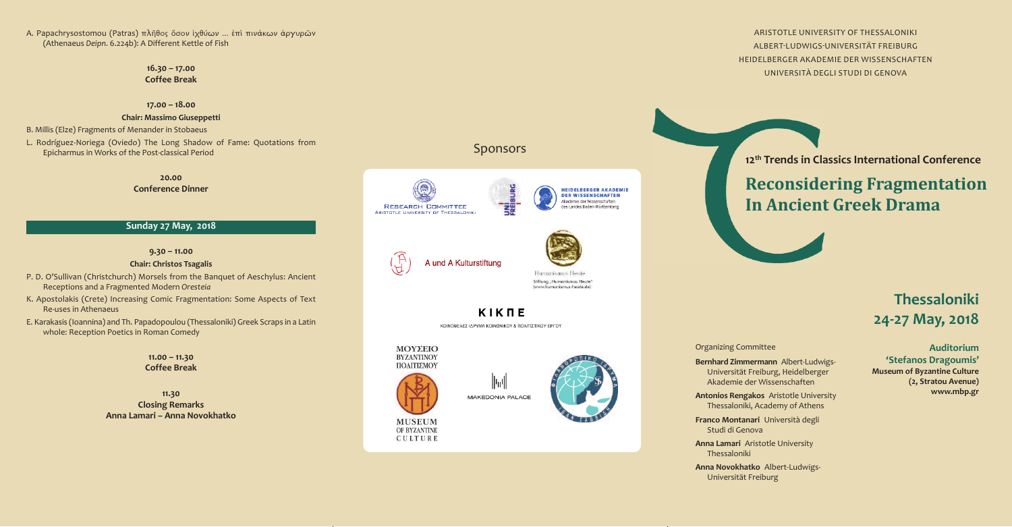A. Papachrysostomou (Patras) πλῆθος ὅσον ἰχθύων ... ἐπὶ πινάκων ἀργυρῶν (Athenaeus *Deipn*. 6.224b): A Different Kettle of Fish

> **1 6 . 3 0 – 1 7 . 0 0 C o f f e e B r e a k**

#### **1 7 . 0 0 – 1 8 . 0 0**

#### **C h a i r : M a s s i m o G i u s e p p e t t i**

B. Millis (Elze) Fragments of Menander in Stobaeus

L. Rodríguez-Noriega (Oviedo) The Long Shadow of Fame: Quotations from Epicharmus in Works of the Post-classical Period

> **2 0 . 0 0 C o n f e r e n c e D i n n e r**

#### **S u n d a y 2 7 M a y, 2 0 1 8**

**1 1 . 3 0 Closing Remarks** <mark>Anna Lamari – Anna Novokhatko</mark>

## Sponsors







Humanismus Heute

Stiftung "Humanismus Heute" (www.humanismus-heute.de)

### **KIKTE**

ΚΟΙΝΩΦΕΛΕΣ ΙΔΡΥΜΑ ΚΟΙΝΩΝΙΚΟΥ & ΠΟΛΙΤΙΣΤΙΚΟΥ ΕΡΓΟΥ

阿州

#### **9 . 3 0 – 1 1 . 0 0**

**ΜΟΥΣΕΙΟ BYZANTINOY** ΠΟΛΙΤΙΣΜΟΥ



**MAKEDONIA PALACE** 





Organizing Committee

**Antonios Rengakos** Aristotle University Thessaloniki, Academy of Athens

**Franco Montanari** Università degli Studi di Genova

Anna Lamari Aristotle University Thessaloniki

Anna Novokhatko Albert-Ludwigs-Universität Freiburg

ARISTOTLE UNIVERSITY OF THESSALONIKI ALBERT-LUDWIGS-UNIVERSITÄT FREIBURG HEIDELBERGER AKADEMIE DER WISSENSCHAFTEN UNIVERSITÀ DEGLI STUDI DI GENOVA

12<sup>th</sup> Trends in Classics International Conference

# **Reconsidering Fragmentation** In Ancient Greek Drama



#### **C h a i r : C h r i s t o s Ts a g a l i s**

- P. D. O'Sullivan (Christchurch) Morsels from the Banquet of Aeschylus: Ancient Receptions and a Fragmented Modern Oresteia
- K. Apostolakis (Crete) Increasing Comic Fragmentation: Some Aspects of Text Re-uses in Athenaeus
- E. Karakasis (Ioannina) and Th. Papadopoulou (Thessaloniki) Greek Scraps in a Latin whole: Reception Poetics in Roman Comedy

## **Thessaloniki 2 4 - 2 7 M a y, 2 0 1 8**

**Bernhard Zimmermann** Albert-Ludwigs-Universität Freiburg, Heidelberger Akademie der Wissenschaften

**Auditorium ' S t e f a n o s D r a g o u m i s ' Museum of Byzantine Culture ( 2 , S t r a t o u A v e n u e ) w w w. m b p . g r**

#### **1 1 . 0 0 – 1 1 . 3 0 C o f f e e B r e a k**